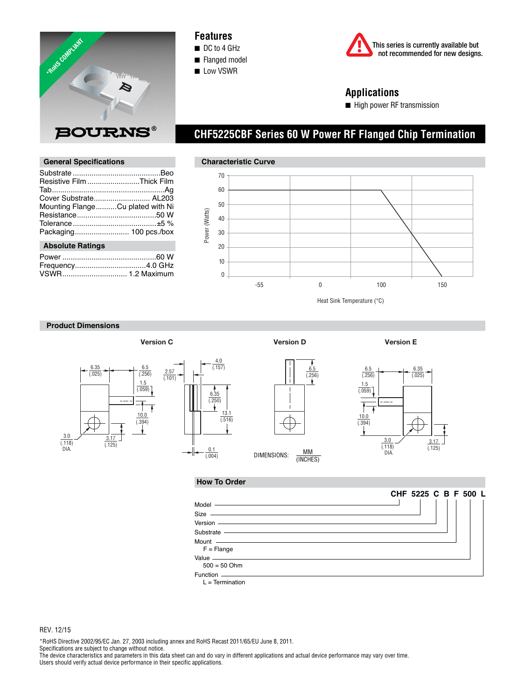

## **Features**

- DC to 4 GHz
- Flanged model ■ Low VSWR



# **Applications**

■ High power RF transmission

Substrate ..........................................Beo Resistive Film .........................Thick Film Tab ......................................................Ag Cover Substrate........................... AL203 Mounting Flange ..........Cu plated with Ni Resistance ......................................50 W Tolerance ........................................±5 % Packaging .......................... 100 pcs./box

Power .............................................60 W Frequency..................................4.0 GHz VSWR ............................... 1.2 Maximum

**General Specifications** 

# **Characteristic Curve** 70 60 50 Power (Watts) Power (Watts) 40 30 20 10 0 -55 0 100 150

 **CHF5225CBF Series 60 W Power RF Flanged Chip Termination**

Heat Sink Temperature (°C)

 $\frac{6.5}{(.256)}$ 

### **Product Dimensions**

 **Absolute Ratings**







(INCHES)

**Version C Version D Version E**

1.5  $\frac{1.16}{(.059)}$  $\overline{\mathbf{f}}$  $\frac{10.0}{(.394)}$ 3.17  $\frac{3.0}{(.118)}$  $(.125)$ DIA.

 $\frac{6.35}{(.025)}$ 

#### **How To Order**



 $L = Termination$ 

REV. 12/15

\*RoHS Directive 2002/95/EC Jan. 27, 2003 including annex and RoHS Recast 2011/65/EU June 8, 2011.

Specifications are subject to change without notice.

The device characteristics and parameters in this data sheet can and do vary in different applications and actual device performance may vary over time. Users should verify actual device performance in their specific applications.